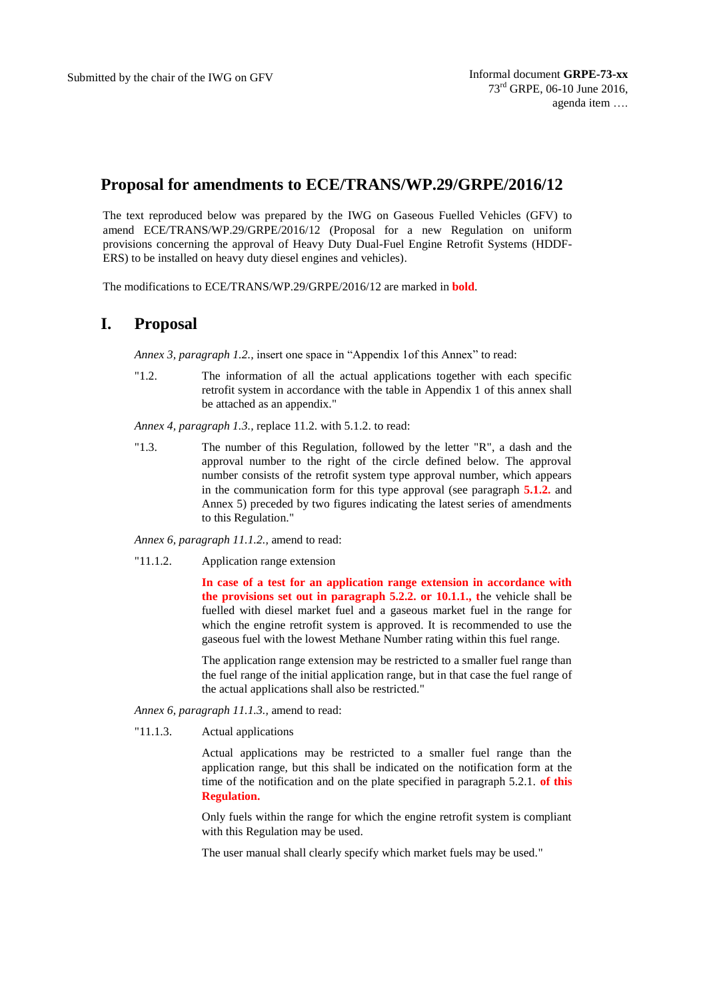## **Proposal for amendments to ECE/TRANS/WP.29/GRPE/2016/12**

The text reproduced below was prepared by the IWG on Gaseous Fuelled Vehicles (GFV) to amend ECE/TRANS/WP.29/GRPE/2016/12 (Proposal for a new Regulation on uniform provisions concerning the approval of Heavy Duty Dual-Fuel Engine Retrofit Systems (HDDF-ERS) to be installed on heavy duty diesel engines and vehicles).

The modifications to ECE/TRANS/WP.29/GRPE/2016/12 are marked in **bold**.

## **I. Proposal**

*Annex 3, paragraph 1.2.,* insert one space in "Appendix 1of this Annex" to read:

"1.2. The information of all the actual applications together with each specific retrofit system in accordance with the table in Appendix 1 of this annex shall be attached as an appendix."

*Annex 4, paragraph 1.3.,* replace 11.2. with 5.1.2. to read:

"1.3. The number of this Regulation, followed by the letter "R", a dash and the approval number to the right of the circle defined below. The approval number consists of the retrofit system type approval number, which appears in the communication form for this type approval (see paragraph **5.1.2.** and Annex 5) preceded by two figures indicating the latest series of amendments to this Regulation."

*Annex 6, paragraph 11.1.2.,* amend to read:

"11.1.2. Application range extension

**In case of a test for an application range extension in accordance with the provisions set out in paragraph 5.2.2. or 10.1.1., t**he vehicle shall be fuelled with diesel market fuel and a gaseous market fuel in the range for which the engine retrofit system is approved. It is recommended to use the gaseous fuel with the lowest Methane Number rating within this fuel range.

The application range extension may be restricted to a smaller fuel range than the fuel range of the initial application range, but in that case the fuel range of the actual applications shall also be restricted."

*Annex 6, paragraph 11.1.3.,* amend to read:

"11.1.3. Actual applications

Actual applications may be restricted to a smaller fuel range than the application range, but this shall be indicated on the notification form at the time of the notification and on the plate specified in paragraph 5.2.1. **of this Regulation.**

Only fuels within the range for which the engine retrofit system is compliant with this Regulation may be used.

The user manual shall clearly specify which market fuels may be used."